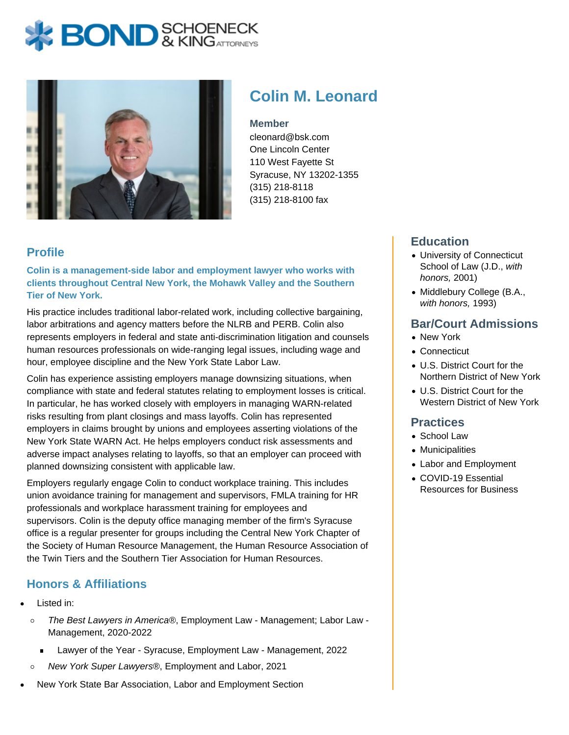# **BOND** & KINGATTORNECK



## **Colin M. Leonard**

#### **Member**

cleonard@bsk.com One Lincoln Center 110 West Fayette St Syracuse, NY 13202-1355 (315) 218-8118 (315) 218-8100 fax

### **Profile**

**Colin is a management-side labor and employment lawyer who works with clients throughout Central New York, the Mohawk Valley and the Southern Tier of New York.**

His practice includes traditional labor-related work, including collective bargaining, labor arbitrations and agency matters before the NLRB and PERB. Colin also represents employers in federal and state anti-discrimination litigation and counsels human resources professionals on wide-ranging legal issues, including wage and hour, employee discipline and the New York State Labor Law.

Colin has experience assisting employers manage downsizing situations, when compliance with state and federal statutes relating to employment losses is critical. In particular, he has worked closely with employers in managing WARN-related risks resulting from plant closings and mass layoffs. Colin has represented employers in claims brought by unions and employees asserting violations of the New York State WARN Act. He helps employers conduct risk assessments and adverse impact analyses relating to layoffs, so that an employer can proceed with planned downsizing consistent with applicable law.

Employers regularly engage Colin to conduct workplace training. This includes union avoidance training for management and supervisors, FMLA training for HR professionals and workplace harassment training for employees and supervisors. Colin is the deputy office managing member of the firm's Syracuse office is a regular presenter for groups including the Central New York Chapter of the Society of Human Resource Management, the Human Resource Association of the Twin Tiers and the Southern Tier Association for Human Resources.

### **Honors & Affiliations**

- Listed in:
	- The Best Lawyers in America®, Employment Law Management; Labor Law  $\circ$ Management, 2020-2022
		- Lawyer of the Year Syracuse, Employment Law Management, 2022  $\blacksquare$
	- New York Super Lawyers®, Employment and Labor, 2021  $\circ$
- New York State Bar Association, Labor and Employment Section

#### **Education**

- University of Connecticut School of Law (J.D., with honors, 2001)
- Middlebury College (B.A., with honors, 1993)

#### **Bar/Court Admissions**

- New York
- Connecticut
- U.S. District Court for the Northern District of New York
- U.S. District Court for the Western District of New York

#### **Practices**

- School Law
- Municipalities
- Labor and Employment
- COVID-19 Essential Resources for Business